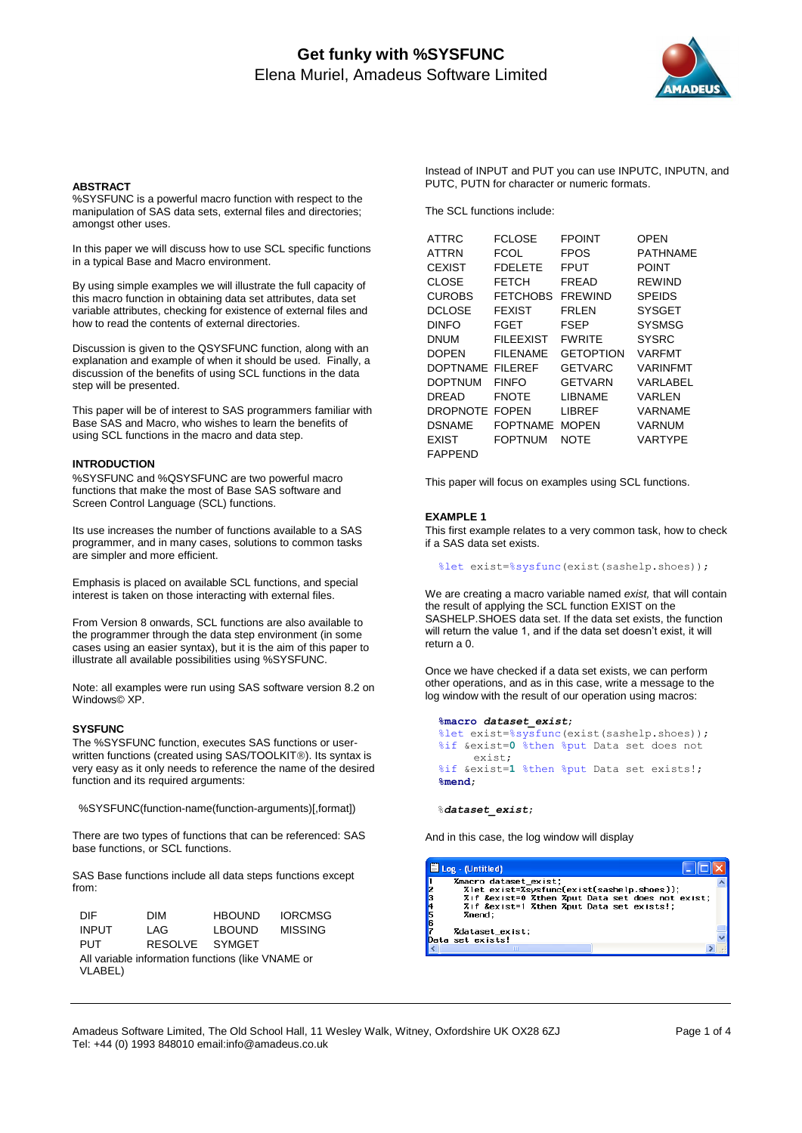# **Get funky with %SYSFUNC** Elena Muriel, Amadeus Software Limited



#### **ABSTRACT**

%SYSFUNC is a powerful macro function with respect to the manipulation of SAS data sets, external files and directories; amongst other uses.

In this paper we will discuss how to use SCL specific functions in a typical Base and Macro environment.

By using simple examples we will illustrate the full capacity of this macro function in obtaining data set attributes, data set variable attributes, checking for existence of external files and how to read the contents of external directories.

Discussion is given to the QSYSFUNC function, along with an explanation and example of when it should be used. Finally, a discussion of the benefits of using SCL functions in the data step will be presented.

This paper will be of interest to SAS programmers familiar with Base SAS and Macro, who wishes to learn the benefits of using SCL functions in the macro and data step.

## **INTRODUCTION**

%SYSFUNC and %QSYSFUNC are two powerful macro functions that make the most of Base SAS software and Screen Control Language (SCL) functions.

Its use increases the number of functions available to a SAS programmer, and in many cases, solutions to common tasks are simpler and more efficient.

Emphasis is placed on available SCL functions, and special interest is taken on those interacting with external files.

From Version 8 onwards, SCL functions are also available to the programmer through the data step environment (in some cases using an easier syntax), but it is the aim of this paper to illustrate all available possibilities using %SYSFUNC.

Note: all examples were run using SAS software version 8.2 on Windows© XP.

## **SYSFUNC**

The %SYSFUNC function, executes SAS functions or userwritten functions (created using SAS/TOOLKIT®). Its syntax is very easy as it only needs to reference the name of the desired function and its required arguments:

%SYSFUNC(function-name(function-arguments)[,format])

There are two types of functions that can be referenced: SAS base functions, or SCL functions.

SAS Base functions include all data steps functions except from:

| DIE.                                                         | <b>DIM</b>     | <b>HBOUND</b> | <b>IORCMSG</b> |
|--------------------------------------------------------------|----------------|---------------|----------------|
| <b>INPUT</b>                                                 | I AG.          | <b>LBOUND</b> | <b>MISSING</b> |
| <b>PUT</b>                                                   | RESOLVE SYMGET |               |                |
| All variable information functions (like VNAME or<br>VLABEL) |                |               |                |

Instead of INPUT and PUT you can use INPUTC, INPUTN, and PUTC, PUTN for character or numeric formats.

The SCL functions include:

| <b>ATTRC</b>    | FCLOSE           | <b>FPOINT</b>    | OPEN            |
|-----------------|------------------|------------------|-----------------|
| ATTRN           | FCOL             | <b>FPOS</b>      | PATHNAME        |
| <b>CEXIST</b>   | <b>FDELETE</b>   | FPUT             | POINT           |
| <b>CLOSE</b>    | FETCH            | FREAD            | <b>RFWIND</b>   |
| <b>CUROBS</b>   | <b>FETCHOBS</b>  | <b>FREWIND</b>   | <b>SPEIDS</b>   |
| <b>DCLOSE</b>   | <b>FEXIST</b>    | FRI FN           | <b>SYSGET</b>   |
| <b>DINFO</b>    | FGET             | FSEP             | <b>SYSMSG</b>   |
| DNUM            | <b>FILEEXIST</b> | <b>FWRITE</b>    | <b>SYSRC</b>    |
| <b>DOPEN</b>    | <b>FILENAME</b>  | <b>GETOPTION</b> | <b>VARFMT</b>   |
| <b>DOPTNAME</b> | FII FRFF         | GETVARC          | <b>VARINFMT</b> |
| <b>DOPTNUM</b>  | <b>FINFO</b>     | <b>GETVARN</b>   | VARLABEL        |
| DRFAD           | <b>FNOTE</b>     | LIBNAME          | VARI FN         |
| <b>DROPNOTE</b> | <b>FOPEN</b>     | LIBREF           | VARNAME         |
| <b>DSNAME</b>   | FOPTNAME         | <b>MOPEN</b>     | <b>VARNUM</b>   |
| <b>EXIST</b>    | <b>FOPTNUM</b>   | NOTE             | VARTYPE         |
| FAPPEND         |                  |                  |                 |

This paper will focus on examples using SCL functions.

## **EXAMPLE 1**

This first example relates to a very common task, how to check if a SAS data set exists.

%let exist=%sysfunc(exist(sashelp.shoes));

We are creating a macro variable named *exist,* that will contain the result of applying the SCL function EXIST on the SASHELP.SHOES data set. If the data set exists, the function will return the value 1, and if the data set doesn't exist, it will return a 0.

Once we have checked if a data set exists, we can perform other operations, and as in this case, write a message to the log window with the result of our operation using macros:

```
 %macro dataset_exist;
 %let exist=%sysfunc(exist(sashelp.shoes));
 %if &exist=0 %then %put Data set does not 
     exist;
 %if &exist=1 %then %put Data set exists!;
 %mend;
```
%*dataset\_exist*;

And in this case, the log window will display



Amadeus Software Limited, The Old School Hall, 11 Wesley Walk, Witney, Oxfordshire UK OX28 6ZJ Page 1 of 4 Tel: +44 (0) 1993 848010 email:info@amadeus.co.uk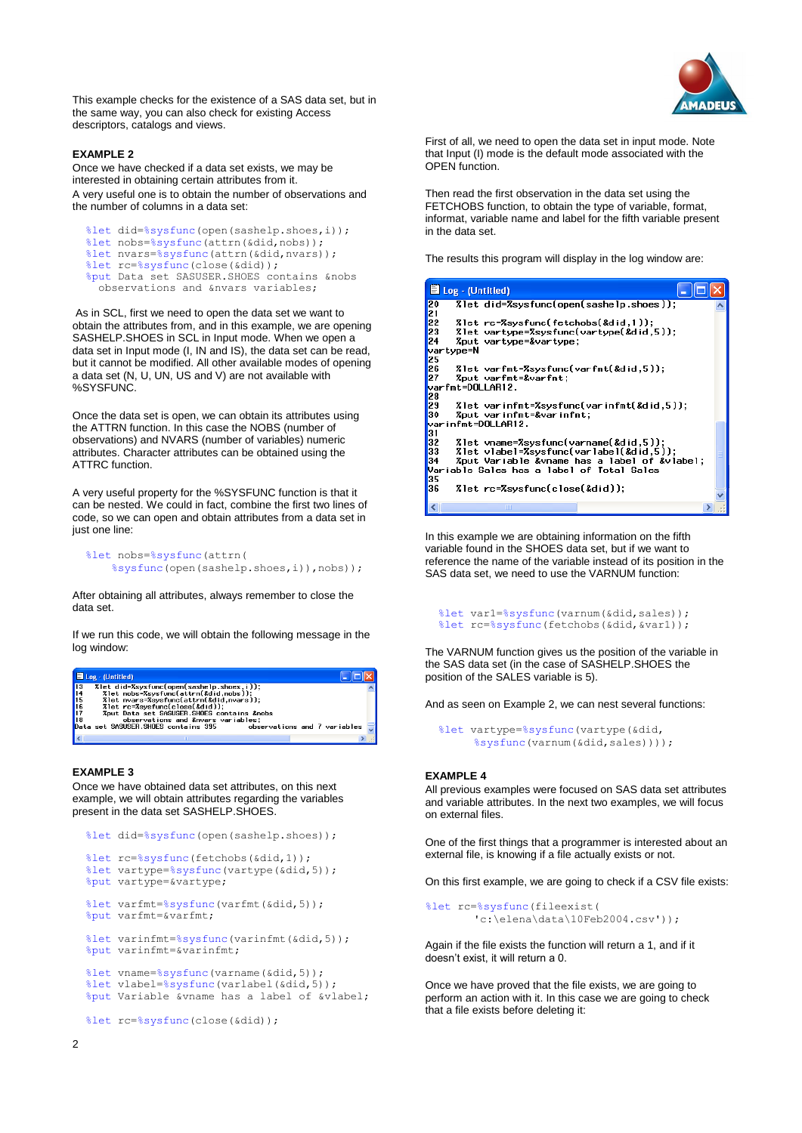

This example checks for the existence of a SAS data set, but in the same way, you can also check for existing Access descriptors, catalogs and views.

## **EXAMPLE 2**

Once we have checked if a data set exists, we may be interested in obtaining certain attributes from it. A very useful one is to obtain the number of observations and the number of columns in a data set:

```
 %let did=%sysfunc(open(sashelp.shoes,i));
%let nobs=%sysfunc(attrn(&did,nobs));
 %let nvars=%sysfunc(attrn(&did,nvars));
 %let rc=%sysfunc(close(&did));
 %put Data set SASUSER.SHOES contains &nobs
  observations and &nvars variables;
```
As in SCL, first we need to open the data set we want to obtain the attributes from, and in this example, we are opening SASHELP.SHOES in SCL in Input mode. When we open a data set in Input mode (I, IN and IS), the data set can be read, but it cannot be modified. All other available modes of opening a data set (N, U, UN, US and V) are not available with %SYSFUNC.

Once the data set is open, we can obtain its attributes using the ATTRN function. In this case the NOBS (number of observations) and NVARS (number of variables) numeric attributes. Character attributes can be obtained using the ATTRC function.

A very useful property for the %SYSFUNC function is that it can be nested. We could in fact, combine the first two lines of code, so we can open and obtain attributes from a data set in just one line:

```
 %let nobs=%sysfunc(attrn(
     %sysfunc(open(sashelp.shoes,i)),nobs));
```
After obtaining all attributes, always remember to close the data set.

If we run this code, we will obtain the following message in the log window:



## **EXAMPLE 3**

Once we have obtained data set attributes, on this next example, we will obtain attributes regarding the variables present in the data set SASHELP.SHOES.

```
 %let did=%sysfunc(open(sashelp.shoes));
 %let rc=%sysfunc(fetchobs(&did,1));
 %let vartype=%sysfunc(vartype(&did,5));
 %put vartype=&vartype;
 %let varfmt=%sysfunc(varfmt(&did,5));
 %put varfmt=&varfmt;
```

```
 %let varinfmt=%sysfunc(varinfmt(&did,5));
 %put varinfmt=&varinfmt;
```

```
 %let vname=%sysfunc(varname(&did,5));
 %let vlabel=%sysfunc(varlabel(&did,5));
 %put Variable &vname has a label of &vlabel;
```

```
 %let rc=%sysfunc(close(&did));
```
First of all, we need to open the data set in input mode. Note that Input (I) mode is the default mode associated with the OPEN function.

Then read the first observation in the data set using the FETCHOBS function, to obtain the type of variable, format, informat, variable name and label for the fifth variable present in the data set.

The results this program will display in the log window are:

| Log - (Untitled)                  |                                           |                                                                                  |  |
|-----------------------------------|-------------------------------------------|----------------------------------------------------------------------------------|--|
| 20<br>21                          |                                           | 7 let did=7sysfunc(open(sashelp.shoes));                                         |  |
| 22<br>23                          | 7let rc=7sysfunc(fetchobs(&did,1));       | %let vartype=%sysfunc(vartype(&did,5));                                          |  |
| 24<br>vartype=N                   | Zput vartype=&vartype                     |                                                                                  |  |
| 25<br>26<br>27                    | %Dut varfmt=&varfmt:                      | %let varfmt=%sysfunc(varfmt(&did,5));                                            |  |
| varfmt=DOLLAR12.<br>28            |                                           |                                                                                  |  |
| 29<br>30                          | Zput varinfmt=&varinfmt                   | 7 let var infmt=7sysfunc(var infmt(&did,5));                                     |  |
| varinfmt=DOLLAR12.<br>31          |                                           |                                                                                  |  |
| 32<br>33                          |                                           | 7let vname=7sysfunc(varname(&did,5));<br>7let vlabel=7sysfunc(varlabel(&did,5)); |  |
| 34                                | Variable Sales has a label of Total Sales | Zput Variable &vname has a label of &vlabel                                      |  |
| 35<br>36                          | %let rc=%sysfunc(close(&did));            |                                                                                  |  |
| $\overline{\left( \cdot \right)}$ | ШI                                        |                                                                                  |  |

In this example we are obtaining information on the fifth variable found in the SHOES data set, but if we want to reference the name of the variable instead of its position in the SAS data set, we need to use the VARNUM function:

```
 %let var1=%sysfunc(varnum(&did,sales));
 %let rc=%sysfunc(fetchobs(&did,&var1));
```
The VARNUM function gives us the position of the variable in the SAS data set (in the case of SASHELP.SHOES the position of the SALES variable is 5).

And as seen on Example 2, we can nest several functions:

```
 %let vartype=%sysfunc(vartype(&did,
     %sysfunc(varnum(&did,sales))));
```
## **EXAMPLE 4**

All previous examples were focused on SAS data set attributes and variable attributes. In the next two examples, we will focus on external files.

One of the first things that a programmer is interested about an external file, is knowing if a file actually exists or not.

On this first example, we are going to check if a CSV file exists:

```
%let rc=%sysfunc(fileexist(
       'c:\elena\data\10Feb2004.csv'));
```
Again if the file exists the function will return a 1, and if it doesn't exist, it will return a 0.

Once we have proved that the file exists, we are going to perform an action with it. In this case we are going to check that a file exists before deleting it: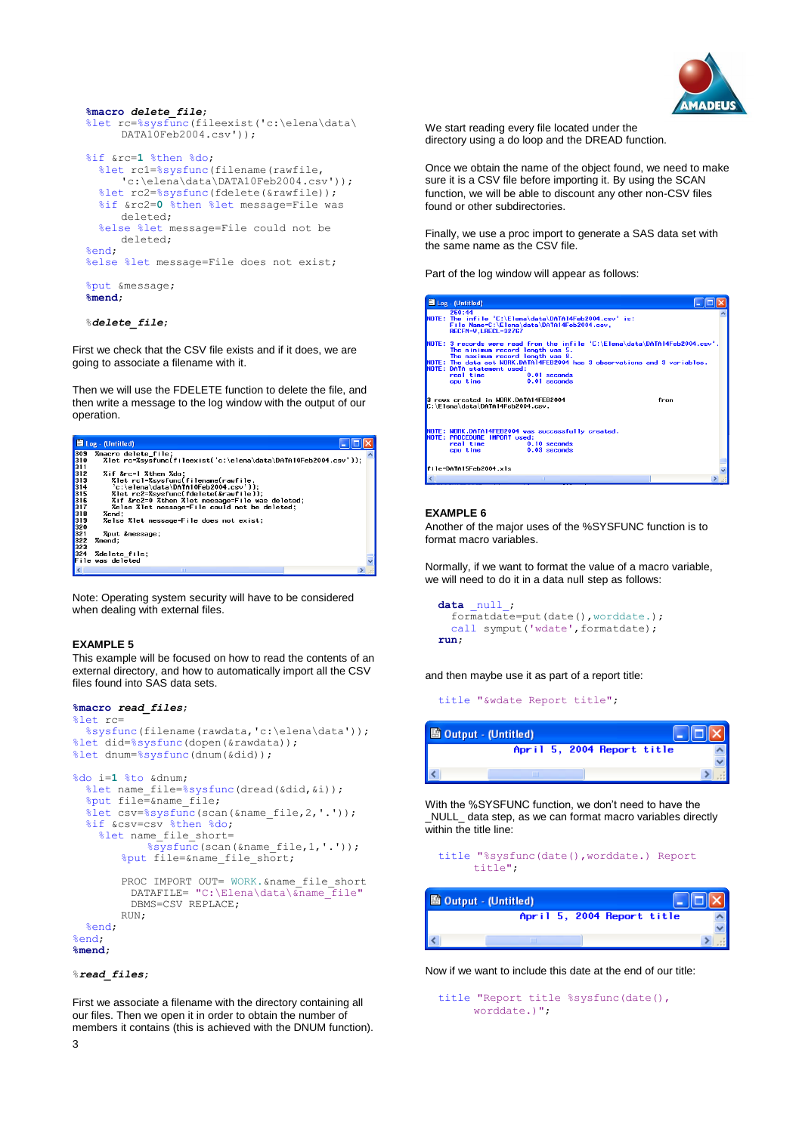

```
 %macro delete_file;
 %let rc=%sysfunc(fileexist('c:\elena\data\
     DATA10Feb2004.csv'));
 %if &rc=1 %then %do;
   %let rc1=%sysfunc(filename(rawfile,
      'c:\elena\data\DATA10Feb2004.csv'));
   %let rc2=%sysfunc(fdelete(&rawfile));
   %if &rc2=0 %then %let message=File was 
     deleted;
   %else %let message=File could not be 
     deleted;
 %end;
 %else %let message=File does not exist;
 %put &message;
 %mend;
```
## %*delete\_file*;

First we check that the CSV file exists and if it does, we are going to associate a filename with it.

Then we will use the FDELETE function to delete the file, and then write a message to the log window with the output of our operation.



Note: Operating system security will have to be considered when dealing with external files.

#### **EXAMPLE 5**

This example will be focused on how to read the contents of an external directory, and how to automatically import all the CSV files found into SAS data sets.

```
%macro read_files;
%let rc=
   %sysfunc(filename(rawdata,'c:\elena\data'));
%let did=%sysfunc(dopen(&rawdata));
%let dnum=%sysfunc(dnum(&did));
%do i=1 %to &dnum;
  %let name file=%sysfunc(dread(&did, &i));
   %put file=&name_file;
   %let csv=%sysfunc(scan(&name_file,2,'.'));
   %if &csv=csv %then %do;
    %let name file short=
             %sysfunc(scan(&name_file,1,'.'));
        %put file=&name_file_short;
        PROC IMPORT OUT= WORK.&name file short
```
DATAFILE= "C:\Elena\data\&name file" DBMS=CSV REPLACE; RIIN: %end; %end; **%mend**;

## %*read\_files*;

First we associate a filename with the directory containing all our files. Then we open it in order to obtain the number of members it contains (this is achieved with the DNUM function). We start reading every file located under the directory using a do loop and the DREAD function.

Once we obtain the name of the object found, we need to make sure it is a CSV file before importing it. By using the SCAN function, we will be able to discount any other non-CSV files found or other subdirectories.

Finally, we use a proc import to generate a SAS data set with the same name as the CSV file.

Part of the log window will appear as follows:

| Log - (Untitled)                                                                                                                                                                                                                                                                                                             |  |  |  |
|------------------------------------------------------------------------------------------------------------------------------------------------------------------------------------------------------------------------------------------------------------------------------------------------------------------------------|--|--|--|
| 260:44<br>NOTE: The infile 'C:\Elena\data\DATA14Feb2004.csv' is:<br>File Name=C:\Elena\data\DATA14Feb2004.csv.<br>RECFM=V, LRECL=32767                                                                                                                                                                                       |  |  |  |
| NOTE: 3 records were read from the infile 'C:\Elena\data\DATA14Feb2004.csv'.<br>The minimum record length was 5.<br>The maximum record length was 8.<br>NOTE: The data set WORK,DATA14FEB2004 has 3 observations and 3 variables.<br>NOTE: DATA statement used:<br>real time<br>$0.01$ seconds<br>cpu time<br>$0.01$ seconds |  |  |  |
| 3 rows created in WORK DATA14FEB2004<br>from<br>C:\Elena\data\DATA14Feb2004.csv.                                                                                                                                                                                                                                             |  |  |  |
| NOTE: WORK.DATA14FEB2004 was successfully created.<br>NOTE: PROCEDURE IMPORT used:<br>real time 0.10 seconds<br>cpu time<br>$0.03$ seconds                                                                                                                                                                                   |  |  |  |
| file=DATA15Feb2004.xls                                                                                                                                                                                                                                                                                                       |  |  |  |
| <b>THIT</b>                                                                                                                                                                                                                                                                                                                  |  |  |  |

#### **EXAMPLE 6**

Another of the major uses of the %SYSFUNC function is to format macro variables.

Normally, if we want to format the value of a macro variable, we will need to do it in a data null step as follows:

```
data null;
   formatdate=put(date(),worddate.);
  call symput ('wdate', formatdate);
 run;
```
and then maybe use it as part of a report title:

title "&wdate Report title";



With the %SYSFUNC function, we don't need to have the \_NULL\_ data step, as we can format macro variables directly within the title line:

```
 title "%sysfunc(date(),worddate.) Report 
     title";
```

| 图 Output - (Untitled) |                            |
|-----------------------|----------------------------|
|                       | April 5, 2004 Report title |
|                       |                            |
|                       |                            |

Now if we want to include this date at the end of our title:

```
 title "Report title %sysfunc(date(),
     worddate.)";
```